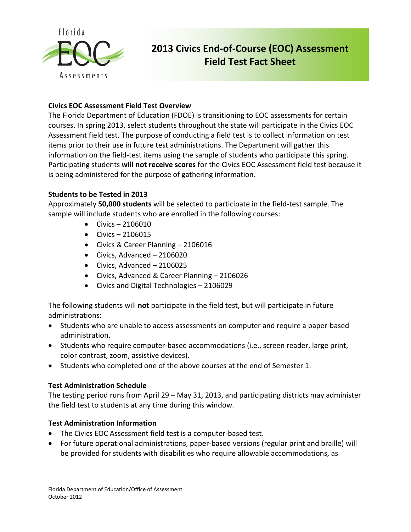

# **2013 Civics End-of-Course (EOC) Assessment Field Test Fact Sheet**

## **Civics EOC Assessment Field Test Overview**

The Florida Department of Education (FDOE) is transitioning to EOC assessments for certain courses. In spring 2013, select students throughout the state will participate in the Civics EOC Assessment field test. The purpose of conducting a field test is to collect information on test items prior to their use in future test administrations. The Department will gather this information on the field-test items using the sample of students who participate this spring. Participating students **will not receive scores** for the Civics EOC Assessment field test because it is being administered for the purpose of gathering information.

## **Students to be Tested in 2013**

Approximately **50,000 students** will be selected to participate in the field-test sample. The sample will include students who are enrolled in the following courses:

- Civics 2106010
- $\bullet$  Civics 2106015
- Civics & Career Planning 2106016
- Civics, Advanced 2106020
- Civics, Advanced 2106025
- Civics, Advanced & Career Planning 2106026
- Civics and Digital Technologies 2106029

The following students will **not** participate in the field test, but will participate in future administrations:

- Students who are unable to access assessments on computer and require a paper-based administration.
- Students who require computer-based accommodations (i.e., screen reader, large print, color contrast, zoom, assistive devices).
- Students who completed one of the above courses at the end of Semester 1.

#### **Test Administration Schedule**

The testing period runs from April 29 – May 31, 2013, and participating districts may administer the field test to students at any time during this window.

#### **Test Administration Information**

- The Civics EOC Assessment field test is a computer-based test.
- For future operational administrations, paper-based versions (regular print and braille) will be provided for students with disabilities who require allowable accommodations, as